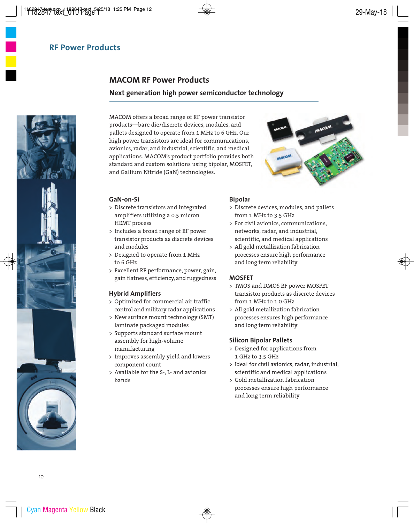# **MACOM RF Power Products**

### **Next generation high power semiconductor technology**

MACOM offers a broad range of RF power transistor products—bare die/discrete devices, modules, and pallets designed to operate from 1 MHz to 6 GHz. Our high power transistors are ideal for communications, avionics, radar, and industrial, scientific, and medical applications. MACOM's product portfolio provides both standard and custom solutions using bipolar, MOSFET, and Gallium Nitride (GaN) technologies.



#### **GaN-on-Si**

- > Discrete transistors and integrated amplifiers utilizing a 0.5 micron HEMT process
- > Includes a broad range of RF power transistor products as discrete devices and modules
- > Designed to operate from 1 MHz to 6 GHz
- > Excellent RF performance, power, gain, gain flatness, efficiency, and ruggedness

#### **Hybrid Amplifiers**

- > Optimized for commercial air traffic control and military radar applications
- > New surface mount technology (SMT) laminate packaged modules
- > Supports standard surface mount assembly for high-volume manufacturing
- > Improves assembly yield and lowers component count
- > Available for the S-, L- and avionics bands

#### **Bipolar**

- > Discrete devices, modules, and pallets from 1 MHz to 3.5 GHz
- > For civil avionics, communications, networks, radar, and industrial, scientific, and medical applications
- > All gold metallization fabrication processes ensure high performance and long term reliability

#### **MOSFET**

- > TMOS and DMOS RF power MOSFET transistor products as discrete devices from 1 MHz to 1.0 GHz
- > All gold metallization fabrication processes ensures high performance and long term reliability

#### **Silicon Bipolar Pallets**

- > Designed for applications from 1 GHz to 3.5 GHz
- > Ideal for civil avionics, radar, industrial, scientific and medical applications
- > Gold metallization fabrication processes ensure high performance and long term reliability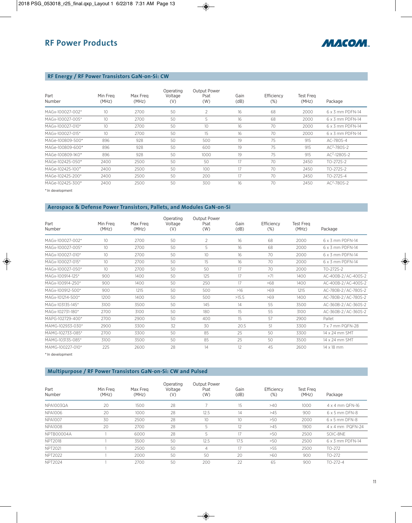

# **RF Energy / RF Power Transistors GaN-on-Si: CW**

| Part<br>Number   | Min Frea<br>(MHz) | Max Freg<br>(MHz) | Operating<br>Voltage<br>(V) | <b>Output Power</b><br>Psat<br>(W) | Gain<br>(dB) | Efficiency<br>$(\%)$ | <b>Test Freg</b><br>(MHz) | Package                 |
|------------------|-------------------|-------------------|-----------------------------|------------------------------------|--------------|----------------------|---------------------------|-------------------------|
| MAGx-100027-002* | 10 <sup>°</sup>   | 2700              | 50                          | 2                                  | 16           | 68                   | 2000                      | $6 \times 3$ mm PDFN-14 |
| MAGx-100027-005* | 10                | 2700              | 50                          | 5                                  | 16           | 68                   | 2000                      | $6 \times 3$ mm PDFN-14 |
| MAGx-100027-010* | 10 <sup>°</sup>   | 2700              | 50                          | 10                                 | 16           | 70                   | 2000                      | $6 \times 3$ mm PDFN-14 |
| MAGx-100027-015* | 10 <sup>°</sup>   | 2700              | 50                          | 15                                 | 16           | 70                   | 2000                      | $6 \times 3$ mm PDFN-14 |
| MAGe-100809-500* | 896               | 928               | 50                          | 500                                | 19           | 75                   | 915                       | AC-780S-4               |
| MAGe-100809-600* | 896               | 928               | 50                          | 600                                | 19           | 75                   | 915                       | $AC2-780S-2$            |
| MAGe-100809-1K0* | 896               | 928               | 50                          | 1000                               | 19           | 75                   | 915                       | $AC2 - 1280S - 2$       |
| MAGe-102425-050* | 2400              | 2500              | 50                          | 50                                 | 17           | 70                   | 2450                      | TO-272S-2               |
| MAGe-102425-100* | 2400              | 2500              | 50                          | 100                                | 17           | 70                   | 2450                      | TO-272S-2               |
| MAGe-102425-200* | 2400              | 2500              | 50                          | 200                                | 17           | 70                   | 2450                      | TO-272S-4               |
| MAGe-102425-300* | 2400              | 2500              | 50                          | 300                                | 16           | 70                   | 2450                      | $AC^2 - 780S - 2$       |

\*In development

#### **Aerospace & Defense Power Transistors, Pallets, and Modules GaN-on-Si**

| Part<br>Number   | Min Frea<br>(MHz) | Max Freg<br>(MHz) | Operating<br>Voltage<br>(V) | <b>Output Power</b><br>Psat<br>(W) | Gain<br>(dB) | Efficiency<br>$(\%)$ | <b>Test Freg</b><br>(MHz) | Package             |
|------------------|-------------------|-------------------|-----------------------------|------------------------------------|--------------|----------------------|---------------------------|---------------------|
| MAGx-100027-002* | 10                | 2700              | 50                          | $\overline{2}$                     | 16           | 68                   | 2000                      | 6 x 3 mm PDFN-14    |
| MAGx-100027-005* | 10 <sup>°</sup>   | 2700              | 50                          | 5                                  | 16           | 68                   | 2000                      | 6 x 3 mm PDFN-14    |
| MAGx-100027-010* | 10 <sup>°</sup>   | 2700              | 50                          | 10                                 | 16           | 70                   | 2000                      | 6 x 3 mm PDFN-14    |
| MAGx-100027-015* | 10 <sup>°</sup>   | 2700              | 50                          | 15                                 | 16           | 70                   | 2000                      | 6 x 3 mm PDFN-14    |
| MAGx-100027-050* | 10 <sup>°</sup>   | 2700              | 50                          | 50                                 | 17           | 70                   | 2000                      | TO-272S-2           |
| MAGx-100914-125* | 900               | 1400              | 50                          | 125                                | 17           | >71                  | 1400                      | AC-400B-2/AC-400S-2 |
| MAGx-100914-250* | 900               | 1400              | 50                          | 250                                | 17           | >68                  | 1400                      | AC-400B-2/AC-400S-2 |
| MAGx-100912-500* | 900               | 1215              | 50                          | 500                                | $>16$        | >69                  | 1215                      | AC-780B-2/AC-780S-2 |
| MAGx-101214-500* | 1200              | 1400              | 50                          | 500                                | >15.5        | >69                  | 1400                      | AC-780B-2/AC-780S-2 |
| MAGx-103135-145* | 3100              | 3500              | 50                          | 145                                | 14           | 55                   | 3500                      | AC-360B-2/AC-360S-2 |
| MAGx-102731-180* | 2700              | 3100              | 50                          | 180                                | 15           | 55                   | 3100                      | AC-360B-2/AC-360S-2 |
| MAPG-102729-400* | 2700              | 2900              | 50                          | 400                                | 15           | 57                   | 2900                      | Pallet              |
| MAMG-102933-030* | 2900              | 3300              | 32                          | 30                                 | 20.5         | 51                   | 3300                      | 7 x 7 mm PQFN-28    |
| MAMG-102733-085* | 2700              | 3300              | 50                          | 85                                 | 25           | 50                   | 3300                      | 14 x 24 mm SMT      |
| MAMG-103135-085* | 3100              | 3500              | 50                          | 85                                 | 25           | 50                   | 3500                      | 14 x 24 mm SMT      |
| MAMG-100227-010* | 225               | 2600              | 28                          | 14                                 | 12           | 45                   | 2600                      | $14 \times 18$ mm   |

\*In development

### **Multipurpose / RF Power Transistors GaN-on-Si: CW and Pulsed**

| Part<br>Number   | Min Freg<br>(MHz) | Max Freg<br>(MHz) | Operating<br>Voltage<br>(V) | Output Power<br>Psat<br>(W) | Gain<br>(dB)    | Efficiency<br>$(\%)$ | Test Freg<br>(MHz) | Package               |
|------------------|-------------------|-------------------|-----------------------------|-----------------------------|-----------------|----------------------|--------------------|-----------------------|
| <b>NPA1003QA</b> | 20                | 1500              | 28                          |                             | 15              | >40                  | 1000               | 4 x 4 mm QFN-16       |
| <b>NPA1006</b>   | 20                | 1000              | 28                          | 12.5                        | 14              | >45                  | 900                | $6 \times 5$ mm DFN-8 |
| <b>NPA1007</b>   | 30                | 2500              | 28                          | 10                          | 10 <sup>°</sup> | >50                  | 2000               | $6 \times 5$ mm DFN-8 |
| <b>NPA1008</b>   | 20                | 2700              | 28                          | 5                           | 12              | >45                  | 1900               | 4 x 4 mm PQFN-24      |
| NPTB00004A       |                   | 6000              | 28                          | 5                           | 17              | >50                  | 2500               | SOIC-8NE              |
| <b>NPT2018</b>   |                   | 3500              | 50                          | 12.5                        | 17.5            | >50                  | 2500               | 6 x 3 mm PDFN-14      |
| <b>NPT2021</b>   |                   | 2500              | 50                          | 4                           | 17              | >55                  | 2500               | TO-272                |
| <b>NPT2022</b>   |                   | 2000              | 50                          | 50                          | 20              | >60                  | 900                | TO-272                |
| <b>NPT2024</b>   |                   | 2700              | 50                          | 200                         | 22              | 65                   | 900                | $TO-272-4$            |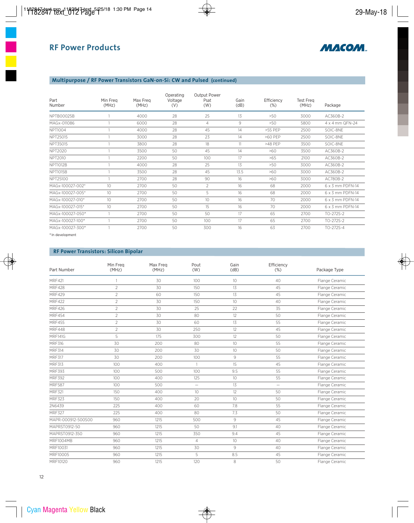

# **Multipurpose / RF Power Transistors GaN-on-Si: CW and Pulsed (continued)**

| Part<br>Number   | Min Freg<br>(MHz) | Max Freg<br>(MHz) | Operating<br>Voltage<br>(V) | <b>Output Power</b><br>Psat<br>(W) | Gain<br>(dB) | Efficiency<br>(%) | <b>Test Freg</b><br>(MHz) | Package          |
|------------------|-------------------|-------------------|-----------------------------|------------------------------------|--------------|-------------------|---------------------------|------------------|
| NPTB00025B       |                   | 4000              | 28                          | 25                                 | 13           | >50               | 3000                      | AC360B-2         |
| MAGx-011086      |                   | 6000              | 28                          | $\overline{4}$                     | 9            | >50               | 5800                      | 4 x 4 mm QFN-24  |
| <b>NPT1004</b>   |                   | 4000              | 28                          | 45                                 | 14           | $>55$ PFP         | 2500                      | SOIC-8NE         |
| NPT25015         |                   | 3000              | 28                          | 23                                 | 14           | >60 PEP           | 2500                      | SOIC-8NE         |
| NPT35015         |                   | 3800              | 28                          | 18                                 | 11           | $>48$ PFP         | 3500                      | SOIC-8NE         |
| <b>NPT2020</b>   |                   | 3500              | 50                          | 45                                 | 14           | >60               | 3500                      | AC360B-2         |
| <b>NPT2010</b>   |                   | 2200              | 50                          | 100                                | 17           | >65               | 2100                      | AC360B-2         |
| <b>NPT1012B</b>  |                   | 4000              | 28                          | 25                                 | 13           | >50               | 3000                      | AC360B-2         |
| <b>NPT1015B</b>  |                   | 3500              | 28                          | 45                                 | 13.5         | >60               | 3000                      | AC360B-2         |
| NPT25100         |                   | 2700              | 28                          | 90                                 | 16           | >60               | 3000                      | AC780B-2         |
| MAGx-100027-002* | 10 <sup>°</sup>   | 2700              | 50                          | $\overline{2}$                     | 16           | 68                | 2000                      | 6 x 3 mm PDFN-14 |
| MAGx-100027-005* | 10 <sup>°</sup>   | 2700              | 50                          | 5                                  | 16           | 68                | 2000                      | 6 x 3 mm PDFN-14 |
| MAGx-100027-010* | 10 <sup>°</sup>   | 2700              | 50                          | 10                                 | 16           | 70 <sup>°</sup>   | 2000                      | 6 x 3 mm PDFN-14 |
| MAGx-100027-015* | 10 <sup>°</sup>   | 2700              | 50                          | 15                                 | 16           | 70                | 2000                      | 6 x 3 mm PDFN-14 |
| MAGx-100027-050* |                   | 2700              | 50                          | 50                                 | 17           | 65                | 2700                      | TO-272S-2        |
| MAGx-100027-100* |                   | 2700              | 50                          | 100                                | 17           | 65                | 2700                      | TO-272S-2        |
| MAGx-100027-300* |                   | 2700              | 50                          | 300                                | 16           | 63                | 2700                      | TO-272S-4        |

\*In development

# **RF Power Transistors: Silicon Bipolar**

| Part Number        | Min Freq<br>(MHz) | Max Freg<br>(MHz) | Pout<br>(W)              | Gain<br>(dB)    | Efficiency<br>$(\%)$ | Package Type   |
|--------------------|-------------------|-------------------|--------------------------|-----------------|----------------------|----------------|
| <b>MRF421</b>      | 1                 | 30                | 100                      | 10              | 40                   | Flange Ceramic |
| <b>MRF428</b>      | $\overline{2}$    | 30                | 150                      | 13              | 45                   | Flange Ceramic |
| <b>MRF429</b>      | $\overline{2}$    | 60                | 150                      | 13              | 45                   | Flange Ceramic |
| <b>MRF422</b>      | $\overline{2}$    | 30                | 150                      | 10 <sup>°</sup> | 40                   | Flange Ceramic |
| <b>MRF426</b>      | $\overline{2}$    | 30                | 25                       | 22              | 35                   | Flange Ceramic |
| <b>MRF454</b>      | $\overline{2}$    | 30                | 80                       | 12              | 50                   | Flange Ceramic |
| <b>MRF455</b>      | $\overline{2}$    | 30                | 60                       | 13              | 55                   | Flange Ceramic |
| <b>MRF448</b>      | $\overline{2}$    | 30                | 250                      | 12              | 45                   | Flange Ceramic |
| <b>MRF141G</b>     | 5                 | 175               | 300                      | 12              | 50                   | Flange Ceramic |
| <b>MRF316</b>      | 30                | 200               | 80                       | 10              | 55                   | Flange Ceramic |
| <b>MRF314</b>      | 30                | 200               | 30                       | 10              | 50                   | Flange Ceramic |
| <b>MRF317</b>      | 30                | 200               | 100                      | 9               | 55                   | Flange Ceramic |
| <b>MRF313</b>      | 100               | 400               | $\overline{1}$           | 15              | 45                   | Flange Ceramic |
| <b>MRF393</b>      | 100               | 500               | 100                      | 9.5             | 55                   | Flange Ceramic |
| <b>MRF392</b>      | 100               | 400               | 125                      | 10 <sup>°</sup> | 55                   | Flange Ceramic |
| <b>MRF587</b>      | 100               | 500               | $\overline{\phantom{0}}$ | 13              | $=$                  | Flange Ceramic |
| <b>MRF321</b>      | 150               | 400               | 10                       | 12              | 50                   | Flange Ceramic |
| <b>MRF323</b>      | 150               | 400               | 20                       | 10 <sup>°</sup> | 50                   | Flange Ceramic |
| 2N6439             | 225               | 400               | 60                       | 7.8             | 55                   | Flange Ceramic |
| <b>MRF327</b>      | 225               | 400               | 80                       | 7.3             | 50                   | Flange Ceramic |
| MAPR-000912-500S00 | 960               | 1215              | 500                      | 9               | 45                   | Flange Ceramic |
| MAPRST0912-50      | 960               | 1215              | 50                       | 9.1             | 40                   | Flange Ceramic |
| MAPRST0912-350     | 960               | 1215              | 350                      | 9.4             | 45                   | Flange Ceramic |
| <b>MRF1004MB</b>   | 960               | 1215              | $\overline{4}$           | 10 <sup>°</sup> | 40                   | Flange Ceramic |
| MRF10031           | 960               | 1215              | 30                       | 9               | 40                   | Flange Ceramic |
| MRF10005           | 960               | 1215              | 5                        | 8.5             | 45                   | Flange Ceramic |
| MRF10120           | 960               | 1215              | 120                      | 8               | 50                   | Flange Ceramic |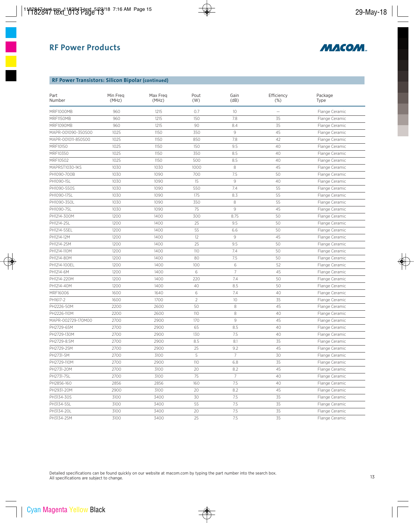

#### **RF Power Transistors: Silicon Bipolar (continued)**

| Part<br>Number     | Min Freq<br>(MHz) | Max Freq<br>(MHz) | Pout<br>(W)    | Gain<br>(dB)   | Efficiency<br>$(\%)$     | Package<br>Type |
|--------------------|-------------------|-------------------|----------------|----------------|--------------------------|-----------------|
| <b>MRF1000MB</b>   | 960               | 1215              | 0.7            | 10             | $\overline{\phantom{0}}$ | Flange Ceramic  |
| MRF1150MB          | 960               | 1215              | 150            | 7.8            | 35                       | Flange Ceramic  |
| <b>MRF1090MB</b>   | 960               | 1215              | 90             | 8.4            | 35                       | Flange Ceramic  |
| MAPR-001090-350S00 | 1025              | 1150              | 350            | 9              | 45                       | Flange Ceramic  |
| MAPR-001011-850S00 | 1025              | 1150              | 850            | 7.8            | 42                       | Flange Ceramic  |
| MRF10150           | 1025              | 1150              | 150            | 9.5            | 40                       | Flange Ceramic  |
| MRF10350           | 1025              | 1150              | 350            | 8.5            | 40                       | Flange Ceramic  |
| MRF10502           | 1025              | 1150              | 500            | 8.5            | 40                       | Flange Ceramic  |
| MAPRST1030-1KS     | 1030              | 1030              | 1000           | 8              | 45                       | Flange Ceramic  |
| PH1090-700B        | 1030              | 1090              | 700            | 7.5            | 50                       | Flange Ceramic  |
| PH1090-15L         | 1030              | 1090              | 15             | 9              | 40                       | Flange Ceramic  |
| PH1090-550S        | 1030              | 1090              | 550            | 7.4            | 55                       | Flange Ceramic  |
| PH1090-175L        | 1030              | 1090              | 175            | 8.3            | 55                       | Flange Ceramic  |
| PH1090-350L        | 1030              | 1090              | 350            | 8              | 55                       | Flange Ceramic  |
| PH1090-75L         | 1030              | 1090              | 75             | 9              | 45                       | Flange Ceramic  |
| PH1214-300M        | 1200              | 1400              | 300            | 8.75           | 50                       | Flange Ceramic  |
| PH1214-25L         | 1200              | 1400              | 25             | 9.5            | 50                       | Flange Ceramic  |
| PH1214-55EL        | 1200              | 1400              | 55             | 6.6            | 50                       | Flange Ceramic  |
| PH1214-12M         | 1200              | 1400              | 12             | 9              | 45                       | Flange Ceramic  |
| PH1214-25M         | 1200              | 1400              | 25             | 9.5            | 50                       | Flange Ceramic  |
| PH1214-110M        | 1200              | 1400              | 110            | 7.4            | 50                       | Flange Ceramic  |
| PH1214-80M         | 1200              | 1400              | 80             | 7.5            | 50                       | Flange Ceramic  |
| PH1214-100EL       | 1200              | 1400              | 100            | 6              | 52                       | Flange Ceramic  |
| PH1214-6M          | 1200              | 1400              | $\,$ 6         | $\overline{7}$ | 45                       | Flange Ceramic  |
| PH1214-220M        | 1200              | 1400              | 220            | 7.4            | 50                       | Flange Ceramic  |
| PH1214-40M         | 1200              | 1400              | 40             | 8.5            | 50                       | Flange Ceramic  |
| MRF16006           | 1600              | 1640              | 6              | 7.4            | 40                       | Flange Ceramic  |
| PH1617-2           | 1600              | 1700              | $\overline{2}$ | 10             | 35                       | Flange Ceramic  |
| PH2226-50M         | 2200              | 2600              | 50             | 8              | 45                       | Flange Ceramic  |
| PH2226-110M        | 2200              | 2600              | 110            | 8              | 40                       | Flange Ceramic  |
| MAPR-002729-170M00 | 2700              | 2900              | 170            | $\,9$          | 45                       | Flange Ceramic  |
| PH2729-65M         | 2700              | 2900              | 65             | 8.5            | 40                       | Flange Ceramic  |
| PH2729-130M        | 2700              | 2900              | 130            | 7.5            | 40                       | Flange Ceramic  |
| PH2729-8.5M        | 2700              | 2900              | 8.5            | 8.1            | 35                       | Flange Ceramic  |
| PH2729-25M         | 2700              | 2900              | 25             | 9.2            | 45                       | Flange Ceramic  |
| PH2731-5M          | 2700              | 3100              | 5              | 7              | 30                       | Flange Ceramic  |
| PH2729-110M        | 2700              | 2900              | 110            | 6.8            | 35                       | Flange Ceramic  |
| PH2731-20M         | 2700              | 3100              | 20             | 8.2            | 45                       | Flange Ceramic  |
| PH2731-75L         | 2700              | 3100              | 75             | 7              | 40                       | Flange Ceramic  |
| PH2856-160         | 2856              | 2856              | 160            | 7.5            | 40                       | Flange Ceramic  |
| PH2931-20M         | 2900              | 3100              | 20             | 8.2            | 45                       | Flange Ceramic  |
| PH3134-30S         | 3100              | 3400              | 30             | 7.5            | 35                       | Flange Ceramic  |
| PH3134-55L         | 3100              | 3400              | 55             | 7.5            | 35                       | Flange Ceramic  |
| PH3134-20L         | 3100              | 3400              | 20             | 7.5            | 35                       | Flange Ceramic  |
| PH3134-25M         | 3100              | 3400              | 25             | $7.5\,$        | 35                       | Flange Ceramic  |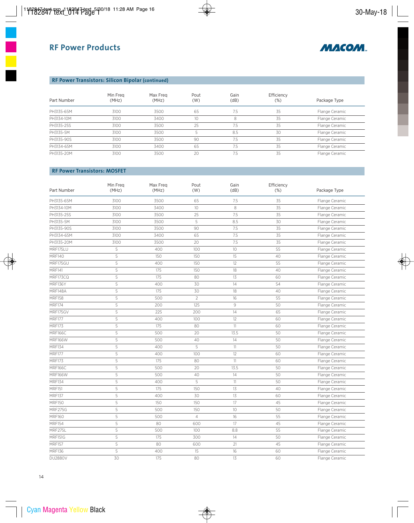

# **RF Power Transistors: Silicon Bipolar (continued)**

| Part Number | Min Freg<br>(MHz) | Max Freg<br>(MHz) | Pout<br>(W) | Gain<br>(dB) | Efficiency<br>$(\%)$ | Package Type   |
|-------------|-------------------|-------------------|-------------|--------------|----------------------|----------------|
| PH3135-65M  | 3100              | 3500              | 65          | 7.5          | 35                   | Flange Ceramic |
| PH3134-10M  | 3100              | 3400              |             | 8            | 35                   | Flange Ceramic |
| PH3135-25S  | 3100              | 3500              | 25          | 7.5          | 35                   | Flange Ceramic |
| PH3135-5M   | 3100              | 3500              |             | 8.5          | 30                   | Flange Ceramic |
| PH3135-90S  | 3100              | 3500              | 90          | 7.5          | 35                   | Flange Ceramic |
| PH3134-65M  | 3100              | 3400              | 65          | 7.5          | 35                   | Flange Ceramic |
| PH3135-20M  | 3100              | 3500              | 20          | 7.5          | 35                   | Flange Ceramic |

### **RF Power Transistors: MOSFET**

| Part Number    | Min Freq<br>(MHz) | Max Freq<br>(MHz) | Pout<br>(W)    | Gain<br>(dB) | Efficiency<br>(%) | Package Type   |
|----------------|-------------------|-------------------|----------------|--------------|-------------------|----------------|
| PH3135-65M     | 3100              | 3500              | 65             | 7.5          | 35                | Flange Ceramic |
| PH3134-10M     | 3100              | 3400              | 10             | 8            | 35                | Flange Ceramic |
| PH3135-25S     | 3100              | 3500              | 25             | 7.5          | 35                | Flange Ceramic |
| PH3135-5M      | 3100              | 3500              | 5              | 8.5          | 30                | Flange Ceramic |
| PH3135-90S     | 3100              | 3500              | 90             | 7.5          | 35                | Flange Ceramic |
| PH3134-65M     | 3100              | 3400              | 65             | 7.5          | 35                | Flange Ceramic |
| PH3135-20M     | 3100              | 3500              | 20             | 7.5          | 35                | Flange Ceramic |
| MRF175LU       | 5                 | 400               | 100            | 10           | 55                | Flange Ceramic |
| <b>MRF140</b>  | 5                 | 150               | 150            | $15\,$       | 40                | Flange Ceramic |
| MRF175GU       | 5                 | 400               | 150            | 12           | 55                | Flange Ceramic |
| <b>MRF141</b>  | 5                 | 175               | 150            | 18           | 40                | Flange Ceramic |
| MRF173CQ       | 5                 | 175               | 80             | 13           | 60                | Flange Ceramic |
| MRF136Y        | 5                 | 400               | 30             | 14           | 54                | Flange Ceramic |
| MRF148A        | 5                 | 175               | 30             | 18           | 40                | Flange Ceramic |
| <b>MRF158</b>  | 5                 | 500               | $\overline{2}$ | 16           | 55                | Flange Ceramic |
| <b>MRF174</b>  | 5                 | 200               | 125            | 9            | 50                | Flange Ceramic |
| MRF175GV       | 5                 | 225               | 200            | 14           | 65                | Flange Ceramic |
| <b>MRF177</b>  | 5                 | 400               | 100            | 12           | 60                | Flange Ceramic |
| <b>MRF173</b>  | 5                 | 175               | 80             | 11           | 60                | Flange Ceramic |
| MRF166C        | 5                 | 500               | 20             | 13.5         | 50                | Flange Ceramic |
| <b>MRF166W</b> | 5                 | 500               | 40             | 14           | 50                | Flange Ceramic |
| <b>MRF134</b>  | 5                 | 400               | 5              | 11           | 50                | Flange Ceramic |
| <b>MRF177</b>  | 5                 | 400               | 100            | 12           | 60                | Flange Ceramic |
| <b>MRF173</b>  | 5                 | 175               | 80             | 11           | 60                | Flange Ceramic |
| MRF166C        | 5                 | 500               | 20             | 13.5         | 50                | Flange Ceramic |
| <b>MRF166W</b> | 5                 | 500               | 40             | 14           | 50                | Flange Ceramic |
| <b>MRF134</b>  | 5                 | 400               | 5              | 11           | 50                | Flange Ceramic |
| <b>MRF151</b>  | 5                 | 175               | 150            | $13\,$       | 40                | Flange Ceramic |
| <b>MRF137</b>  | 5                 | 400               | 30             | 13           | 60                | Flange Ceramic |
| <b>MRF150</b>  | 5                 | 150               | 150            | 17           | 45                | Flange Ceramic |
| MRF275G        | 5                 | 500               | 150            | 10           | 50                | Flange Ceramic |
| <b>MRF160</b>  | 5                 | 500               | $\overline{4}$ | 16           | 55                | Flange Ceramic |
| <b>MRF154</b>  | 5                 | 80                | 600            | 17           | 45                | Flange Ceramic |
| MRF275L        | 5                 | 500               | 100            | 8.8          | 55                | Flange Ceramic |
| <b>MRF151G</b> | 5                 | 175               | 300            | 14           | 50                | Flange Ceramic |
| <b>MRF157</b>  | 5                 | 80                | 600            | 21           | 45                | Flange Ceramic |
| <b>MRF136</b>  | 5                 | 400               | 15             | 16           | 60                | Flange Ceramic |
| <b>DU2880V</b> | 30                | 175               | 80             | 13           | 60                | Flange Ceramic |